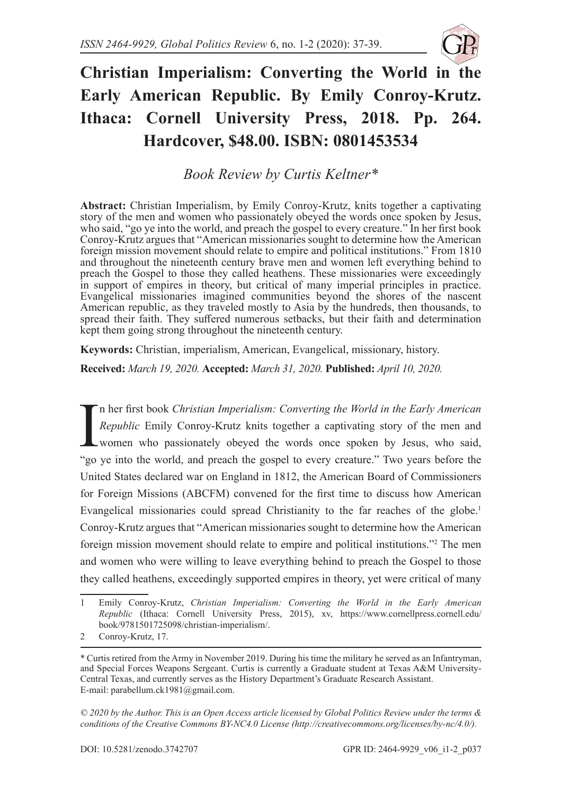

## **Christian Imperialism: Converting the World in the Early American Republic. By Emily Conroy-Krutz. Ithaca: Cornell University Press, 2018. Pp. 264. Hardcover, \$48.00. ISBN: 0801453534**

*Book Review by Curtis Keltner\**

**Abstract:** Christian Imperialism, by Emily Conroy-Krutz, knits together a captivating story of the men and women who passionately obeyed the words once spoken by Jesus, who said, "go ye into the world, and preach the gospel to every creature." In her first book Conroy-Krutz argues that "American missionaries sought to determine how the American foreign mission movement should relate to empire and political institutions." From 1810 and throughout the nineteenth century brave men and women left everything behind to preach the Gospel to those they called heathens. These missionaries were exceedingly in support of empires in theory, but critical of many imperial principles in practice. Evangelical missionaries imagined communities beyond the shores of the nascent American republic, as they traveled mostly to Asia by the hundreds, then thousands, to spread their faith. They suffered numerous setbacks, but their faith and determination kept them going strong throughout the nineteenth century.

**Keywords:** Christian, imperialism, American, Evangelical, missionary, history.

**Received:** *March 19, 2020.* **Accepted:** *March 31, 2020.* **Published:** *April 10, 2020.*

In her first book Christian Imperialism: Converting the World in the Early American<br>Republic Emily Conroy-Krutz knits together a captivating story of the men and<br>women who passionately obeyed the words once spoken by Jesus n her first book *Christian Imperialism: Converting the World in the Early American Republic* Emily Conroy-Krutz knits together a captivating story of the men and women who passionately obeyed the words once spoken by Jesus, who said, United States declared war on England in 1812, the American Board of Commissioners for Foreign Missions (ABCFM) convened for the first time to discuss how American Evangelical missionaries could spread Christianity to the far reaches of the globe.<sup>1</sup> Conroy-Krutz argues that "American missionaries sought to determine how the American foreign mission movement should relate to empire and political institutions."2 The men and women who were willing to leave everything behind to preach the Gospel to those they called heathens, exceedingly supported empires in theory, yet were critical of many

*© 2020 by the Author. This is an Open Access article licensed by Global Politics Review under the terms & conditions of the Creative Commons BY-NC4.0 License (http://creativecommons.org/licenses/by-nc/4.0/).* 

<sup>1</sup> Emily Conroy-Krutz, *Christian Imperialism: Converting the World in the Early American Republic* (Ithaca: Cornell University Press, 2015), xv, https://www.cornellpress.cornell.edu/ book/9781501725098/christian-imperialism/.

<sup>2</sup> Conroy-Krutz, 17.

<sup>\*</sup> Curtis retired from the Army in November 2019. During his time the military he served as an Infantryman, and Special Forces Weapons Sergeant. Curtis is currently a Graduate student at Texas A&M University-Central Texas, and currently serves as the History Department's Graduate Research Assistant. E-mail: parabellum.ck1981@gmail.com.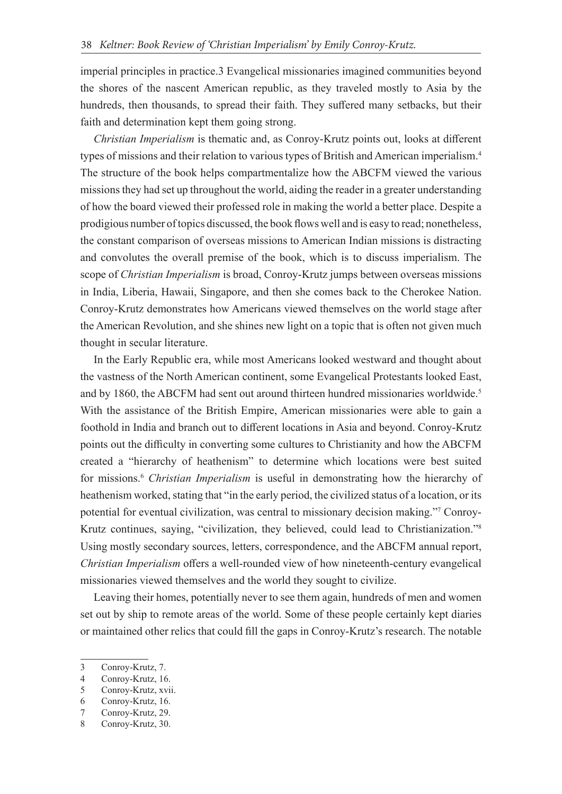imperial principles in practice.3 Evangelical missionaries imagined communities beyond the shores of the nascent American republic, as they traveled mostly to Asia by the hundreds, then thousands, to spread their faith. They suffered many setbacks, but their faith and determination kept them going strong.

*Christian Imperialism* is thematic and, as Conroy-Krutz points out, looks at different types of missions and their relation to various types of British and American imperialism.4 The structure of the book helps compartmentalize how the ABCFM viewed the various missions they had set up throughout the world, aiding the reader in a greater understanding of how the board viewed their professed role in making the world a better place. Despite a prodigious number of topics discussed, the book flows well and is easy to read; nonetheless, the constant comparison of overseas missions to American Indian missions is distracting and convolutes the overall premise of the book, which is to discuss imperialism. The scope of *Christian Imperialism* is broad, Conroy-Krutz jumps between overseas missions in India, Liberia, Hawaii, Singapore, and then she comes back to the Cherokee Nation. Conroy-Krutz demonstrates how Americans viewed themselves on the world stage after the American Revolution, and she shines new light on a topic that is often not given much thought in secular literature.

In the Early Republic era, while most Americans looked westward and thought about the vastness of the North American continent, some Evangelical Protestants looked East, and by 1860, the ABCFM had sent out around thirteen hundred missionaries worldwide.<sup>5</sup> With the assistance of the British Empire, American missionaries were able to gain a foothold in India and branch out to different locations in Asia and beyond. Conroy-Krutz points out the difficulty in converting some cultures to Christianity and how the ABCFM created a "hierarchy of heathenism" to determine which locations were best suited for missions.6 *Christian Imperialism* is useful in demonstrating how the hierarchy of heathenism worked, stating that "in the early period, the civilized status of a location, or its potential for eventual civilization, was central to missionary decision making."7 Conroy-Krutz continues, saying, "civilization, they believed, could lead to Christianization."8 Using mostly secondary sources, letters, correspondence, and the ABCFM annual report, *Christian Imperialism* offers a well-rounded view of how nineteenth-century evangelical missionaries viewed themselves and the world they sought to civilize.

Leaving their homes, potentially never to see them again, hundreds of men and women set out by ship to remote areas of the world. Some of these people certainly kept diaries or maintained other relics that could fill the gaps in Conroy-Krutz's research. The notable

<sup>3</sup> Conroy-Krutz, 7.

<sup>4</sup> Conroy-Krutz, 16.

<sup>5</sup> Conroy-Krutz, xvii.

<sup>6</sup> Conroy-Krutz, 16.

<sup>7</sup> Conroy-Krutz, 29.

<sup>8</sup> Conroy-Krutz, 30.